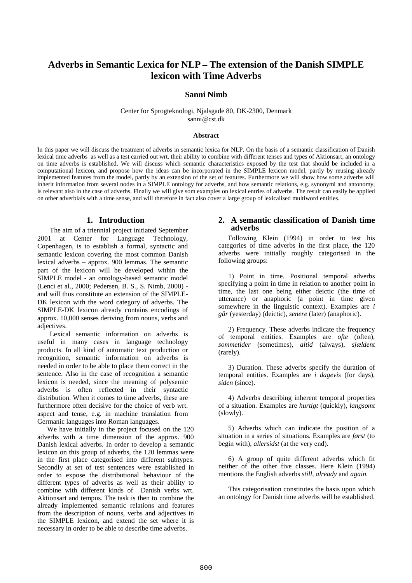# **Adverbs in Semantic Lexica for NLP – The extension of the Danish SIMPLE lexicon with Time Adverbs**

## **Sanni Nimb**

Center for Sprogteknologi, Njalsgade 80, DK-2300, Denmark sanni@cst.dk

#### **Abstract**

In this paper we will discuss the treatment of adverbs in semantic lexica for NLP. On the basis of a semantic classification of Danish lexical time adverbs as well as a test carried out wrt. their ability to combine with different tenses and types of Aktionsart, an ontology on time adverbs is established. We will discuss which semantic characteristics exposed by the test that should be included in a computational lexicon, and propose how the ideas can be incorporated in the SIMPLE lexicon model, partly by reusing already implemented features from the model, partly by an extension of the set of features. Furthermore we will show how some adverbs will inherit information from several nodes in a SIMPLE ontology for adverbs, and how semantic relations, e.g. synonymi and antonomy, is relevant also in the case of adverbs. Finally we will give som examples on lexical entries of adverbs. The result can easily be applied on other adverbials with a time sense, and will therefore in fact also cover a large group of lexicalised multiword entities.

## **1. Introduction**

The aim of a triennial project initiated September 2001 at Center for Language Technology, Copenhagen, is to establish a formal, syntactic and semantic lexicon covering the most common Danish lexical adverbs – approx. 900 lemmas. The semantic part of the lexicon will be developed within the SIMPLE model - an ontology-based semantic model (Lenci et al., 2000; Pedersen, B. S., S. Nimb, 2000) and will thus constitute an extension of the SIMPLE-DK lexicon with the word category of adverbs. The SIMPLE-DK lexicon already contains encodings of approx. 10,000 senses deriving from nouns, verbs and adjectives.

Lexical semantic information on adverbs is useful in many cases in language technology products. In all kind of automatic text production or recognition, semantic information on adverbs is needed in order to be able to place them correct in the sentence. Also in the case of recognition a semantic lexicon is needed, since the meaning of polysemic adverbs is often reflected in their syntactic distribution. When it comes to time adverbs, these are furthermore often decisive for the choice of verb wrt. aspect and tense, e.g. in machine translation from Germanic languages into Roman languages.

We have initially in the project focused on the 120 adverbs with a time dimension of the approx. 900 Danish lexical adverbs. In order to develop a semantic lexicon on this group of adverbs, the 120 lemmas were in the first place categorised into different subtypes. Secondly at set of test sentences were established in order to expose the distributional behaviour of the different types of adverbs as well as their ability to combine with different kinds of Danish verbs wrt. Aktionsart and tempus. The task is then to combine the already implemented semantic relations and features from the description of nouns, verbs and adjectives in the SIMPLE lexicon, and extend the set where it is necessary in order to be able to describe time adverbs.

## **2. A semantic classification of Danish time adverbs**

Following Klein (1994) in order to test his categories of time adverbs in the first place, the 120 adverbs were initially roughly categorised in the following groups:

1) Point in time. Positional temporal adverbs specifying a point in time in relation to another point in time, the last one being either deictic (the time of utterance) or anaphoric (a point in time given somewhere in the linguistic context). Examples are *i går* (yesterday) (deictic), *senere* (later) (anaphoric).

2) Frequency. These adverbs indicate the frequency of temporal entities. Examples are *ofte* (often), *sommetider* (sometimes), *altid* (always), *sjældent* (rarely).

3) Duration. These adverbs specify the duration of temporal entities. Examples are *i dagevis* (for days), *siden* (since).

4) Adverbs describing inherent temporal properties of a situation. Examples are *hurtigt* (quickly), *langsomt* (slowly).

5) Adverbs which can indicate the position of a situation in a series of situations. Examples are *først* (to begin with), *allersidst* (at the very end).

6) A group of quite different adverbs which fit neither of the other five classes. Here Klein (1994) mentions the English adverbs *still*, *already* and *again.*

This categorisation constitutes the basis upon which an ontology for Danish time adverbs will be established.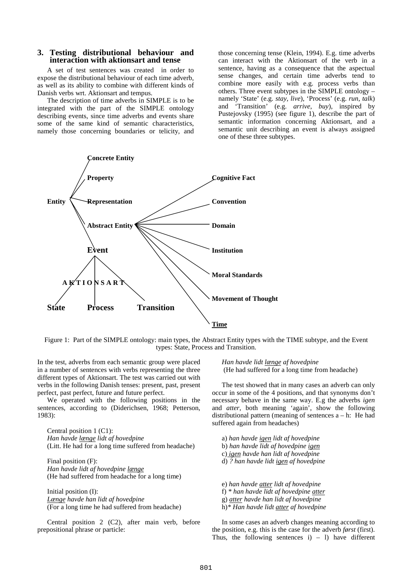#### **3. Testing distributional behaviour and interaction with aktionsart and tense**

A set of test sentences was created in order to expose the distributional behaviour of each time adverb, as well as its ability to combine with different kinds of Danish verbs wrt. Aktionsart and tempus.

The description of time adverbs in SIMPLE is to be integrated with the part of the SIMPLE ontology describing events, since time adverbs and events share some of the same kind of semantic characteristics, namely those concerning boundaries or telicity, and

those concerning tense (Klein, 1994). E.g. time adverbs can interact with the Aktionsart of the verb in a sentence, having as a consequence that the aspectual sense changes, and certain time adverbs tend to combine more easily with e.g. process verbs than others. Three event subtypes in the SIMPLE ontology – namely 'State' (e.g. *stay*, *live*), 'Process' (e.g. *run*, *talk*) and 'Transition' (e.g. *arrive*, *buy*), inspired by Pustejovsky (1995) (see figure 1), describe the part of semantic information concerning Aktionsart, and a semantic unit describing an event is always assigned one of these three subtypes.



Figure 1: Part of the SIMPLE ontology: main types, the Abstract Entity types with the TIME subtype, and the Event types: State, Process and Transition.

In the test, adverbs from each semantic group were placed in a number of sentences with verbs representing the three different types of Aktionsart. The test was carried out with verbs in the following Danish tenses: present, past, present perfect, past perfect, future and future perfect.

We operated with the following positions in the sentences, according to (Diderichsen, 1968; Petterson, 1983):

Central position 1 (C1): *Han havde længe lidt af hovedpine* (Litt. He had for a long time suffered from headache)

Final position (F): *Han havde lidt af hovedpine længe* (He had suffered from headache for a long time)

Initial position (I): *Længe havde han lidt af hovedpine* (For a long time he had suffered from headache)

Central position 2 (C2), after main verb, before prepositional phrase or particle:

*Han havde lidt længe af hovedpine* (He had suffered for a long time from headache)

The test showed that in many cases an adverb can only occur in some of the 4 positions, and that synonyms don't necessary behave in the same way. E.g the adverbs *igen* and *atter*, both meaning 'again', show the following distributional pattern (meaning of sentences  $a - h$ : He had suffered again from headaches)

a) *han havde igen lidt af hovedpine* b) *han havde lidt af hovedpine igen* c) *igen havde han lidt af hovedpine* d) *? han havde lidt igen af hovedpine*

e) *han havde atter lidt af hovedpine* f) *\* han havde lidt af hovedpine atter* g) *atter havde han lidt af hovedpine* h)*\* Han havde lidt atter af hovedpine*

In some cases an adverb changes meaning according to the position, e.g. this is the case for the adverb *først* (first). Thus, the following sentences  $i$  – 1) have different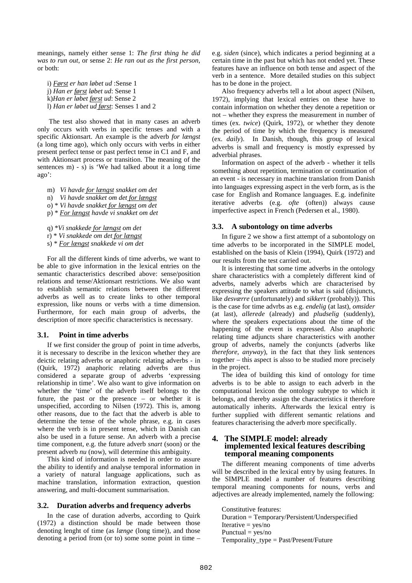meanings, namely either sense 1: *The first thing he did was to run out*, or sense 2: *He ran out as the first person*, or both:

i) *Først er han løbet ud* :Sense 1 j) *Han er først løbet ud*: Sense 1 k)*Han er løbet først ud*: Sense 2 l) *Han er løbet ud først*: Senses 1 and 2

 The test also showed that in many cases an adverb only occurs with verbs in specific tenses and with a specific Aktionsart. An example is the adverb *for længst* (a long time ago), which only occurs with verbs in either present perfect tense or past perfect tense in C1 and F, and with Aktionsart process or transition. The meaning of the sentences m)  $-$  s) is 'We had talked about it a long time ago':

- m) *Vi havde for længst snakket om det* n) *Vi havde snakket om det for længst* o) \* *Vi havde snakket for længst om det*
- p) \* *For længst havde vi snakket om det*

q) \**Vi snakkede for længst om det* r) \* *Vi snakkede om det for længst* s) \* *For længst snakkede vi om det*

For all the different kinds of time adverbs, we want to be able to give information in the lexical entries on the semantic characteristics described above: sense/position relations and tense/Aktionsart restrictions. We also want to establish semantic relations between the different adverbs as well as to create links to other temporal expression, like nouns or verbs with a time dimension. Furthermore, for each main group of adverbs, the description of more specific characteristics is necessary.

## **3.1. Point in time adverbs**

If we first consider the group of point in time adverbs, it is necessary to describe in the lexicon whether they are deictic relating adverbs or anaphoric relating adverbs - in (Quirk, 1972) anaphoric relating adverbs are thus considered a separate group of adverbs 'expressing relationship in time'. We also want to give information on whether the 'time' of the adverb itself belongs to the future, the past or the presence – or whether it is unspecified, according to Nilsen (1972). This is, among other reasons, due to the fact that the adverb is able to determine the tense of the whole phrase, e.g. in cases where the verb is in present tense, which in Danish can also be used in a future sense. An adverb with a precise time component, e.g. the future adverb *snart* (soon) or the present adverb *nu* (now), will determine this ambiguity.

This kind of information is needed in order to assure the ability to identify and analyse temporal information in a variety of natural language applications, such as machine translation, information extraction, question answering, and multi-document summarisation.

#### **3.2. Duration adverbs and frequency adverbs**

In the case of duration adverbs, according to Quirk (1972) a distinction should be made between those denoting lenght of time (as *længe* (long time)), and those denoting a period from (or to) some some point in time – e.g. *siden* (since), which indicates a period beginning at a certain time in the past but which has not ended yet. These features have an influence on both tense and aspect of the verb in a sentence. More detailed studies on this subject has to be done in the project.

Also frequency adverbs tell a lot about aspect (Nilsen, 1972), implying that lexical entries on these have to contain information on whether they denote a repetition or not – whether they express the measurement in number of times (ex. *twice*) (Quirk, 1972), or whether they denote the period of time by which the frequency is measured (ex. *daily*). In Danish, though, this group of lexical adverbs is small and frequency is mostly expressed by adverbial phrases.

Information on aspect of the adverb - whether it tells something about repetition, termination or continuation of an event - is necessary in machine translation from Danish into languages expressing aspect in the verb form, as is the case for English and Romance languages. E.g. indefinite iterative adverbs (e.g. *ofte* (often)) always cause imperfective aspect in French (Pedersen et al., 1980).

#### **3.3. A subontology on time adverbs**

In figure 2 we show a first attempt of a subontology on time adverbs to be incorporated in the SIMPLE model, established on the basis of Klein (1994), Quirk (1972) and our results from the test carried out.

It is interesting that some time adverbs in the ontology share characteristics with a completely different kind of adverbs, namely adverbs which are characterised by expressing the speakers attitude to what is said (disjuncts, like *desværre* (unfortunately) and *sikkert* (probably)). This is the case for time advrbs as e.g. *endelig* (at last), *omsider* (at last), *allerede* (already) and *pludselig* (suddenly), where the speakers expectations about the time of the happening of the event is expressed. Also anaphoric relating time adjuncts share characteristics with another group of adverbs, namely the conjuncts (adverbs like *therefore*, *anyway*), in the fact that they link sentences together – this aspect is alsso to be studied more precisely in the project.

The idea of building this kind of ontology for time adverbs is to be able to assign to each adverb in the computational lexicon the ontology subtype to which it belongs, and thereby assign the characteristics it therefore automatically inherits. Afterwards the lexical entry is further supplied with different semantic relations and features characterising the adverb more specifically.

### **4. The SIMPLE model: already implemented lexical features describing temporal meaning components**

The different meaning components of time adverbs will be described in the lexical entry by using features. In the SIMPLE model a number of features describing temporal meaning components for nouns, verbs and adjectives are already implemented, namely the following:

Constitutive features: Duration = Temporary/Persistent/Underspecified Iterative  $=$  yes/no Punctual  $=$  yes/no Temporality\_type = Past/Present/Future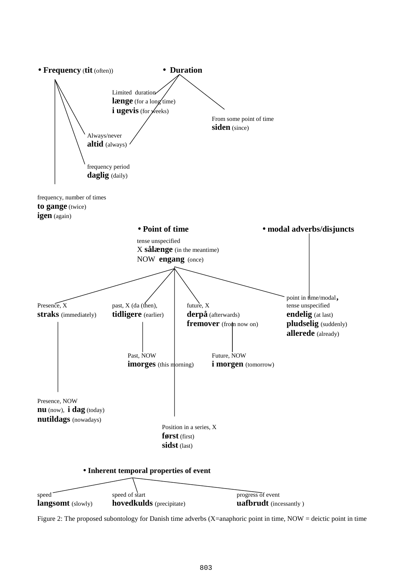

Figure 2: The proposed subontology for Danish time adverbs (X=anaphoric point in time, NOW = deictic point in time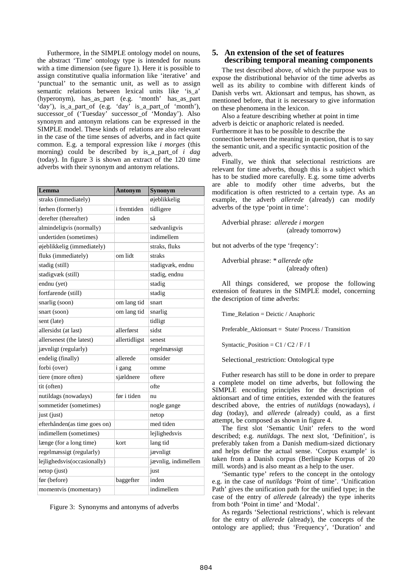Futhermore, in the SIMPLE ontology model on nouns, the abstract 'Time' ontology type is intended for nouns with a time dimension (see figure 1). Here it is possible to assign constitutive qualia information like 'iterative' and 'punctual' to the semantic unit, as well as to assign semantic relations between lexical units like 'is a' (hyperonym), has\_as\_part (e.g. 'month' has\_as\_part 'day'), is\_a\_part\_of (e.g. 'day' is\_a\_part\_of 'month'), successor\_of ('Tuesday' successor\_of 'Monday'). Also synonym and antonym relations can be expressed in the SIMPLE model. These kinds of relations are also relevant in the case of the time senses of adverbs, and in fact quite common. E.g. a temporal expression like *i morges* (this morning) could be described by is\_a\_part\_of *i dag* (today). In figure 3 is shown an extract of the 120 time adverbs with their synonym and antonym relations.

| Lemma                        | <b>Antonym</b> | Synonym             |
|------------------------------|----------------|---------------------|
| straks (immediately)         |                | øjeblikkelig        |
| førhen (formerly)            | i fremtiden    | tidligere           |
| derefter (thereafter)        | inden          | så                  |
| almindeligvis (normally)     |                | sædvanligvis        |
| undertiden (sometimes)       |                | indimellem          |
| øjeblikkelig (immediately)   |                | straks, fluks       |
| fluks (immediately)          | om lidt        | straks              |
| stadig (still)               |                | stadigvæk, endnu    |
| stadigvæk (still)            |                | stadig, endnu       |
| endnu (yet)                  |                | stadig              |
| fortfarende (still)          |                | stadig              |
| snarlig (soon)               | om lang tid    | snart               |
| snart (soon)                 | om lang tid    | snarlig             |
| sent (late)                  |                | tidligt             |
| allersidst (at last)         | allerførst     | sidst               |
| allersenest (the latest)     | allertidligst  | senest              |
| jævnligt (regularly)         |                | regelmæssigt        |
| endelig (finally)            | allerede       | omsider             |
| forbi (over)                 | i gang         | omme                |
| tiere (more often)           | sjældnere      | oftere              |
| tit (often)                  |                | ofte                |
| nutildags (nowadays)         | før i tiden    | nu                  |
| sommetider (sometimes)       |                | nogle gange         |
| just (just)                  |                | netop               |
| efterhånden(as time goes on) |                | med tiden           |
| indimellem (sometimes)       |                | lejlighedsvis       |
| længe (for a long time)      | kort           | lang tid            |
| regelmæssigt (regularly)     |                | jævnligt            |
| lejlighedsvis(occasionally)  |                | jævnlig, indimellem |
| netop (just)                 |                | just                |
| før (before)                 | baggefter      | inden               |
| momentvis (momentary)        |                | indimellem          |

Figure 3: Synonyms and antonyms of adverbs

## **5. An extension of the set of features describing temporal meaning components**

The test described above, of which the purpose was to expose the distributional behavior of the time adverbs as well as its ability to combine with different kinds of Danish verbs wrt. Aktionsart and tempus, has shown, as mentioned before, that it is necessary to give information on these phenomena in the lexicon.

Also a feature describing whether at point in time adverb is deictic or anaphoric related is needed. Furthermore it has to be possible to describe the connection between the meaning in question, that is to say the semantic unit, and a specific syntactic position of the adverb.

Finally, we think that selectional restrictions are relevant for time adverbs, though this is a subject which has to be studied more carefully. E.g. some time adverbs are able to modify other time adverbs, but the modification is often restricted to a certain type. As an example, the adverb *allerede* (already) can modify adverbs of the type 'point in time':

Adverbial phrase: *allerede i morgen* (already tomorrow)

but not adverbs of the type 'freqency':

Adverbial phrase: *\* allerede ofte* (already often)

All things considered, we propose the following extension of features in the SIMPLE model, concerning the description of time adverbs:

Time\_Relation = Deictic / Anaphoric

Preferable\_Aktionsart = State/ Process / Transition

Syntactic\_Position =  $Cl / C2 / F / I$ 

Selectional\_restriction: Ontological type

Futher research has still to be done in order to prepare a complete model on time adverbs, but following the SIMPLE encoding principles for the description of aktionsart and of time entities, extended with the features described above, the entries of *nutildags* (nowadays), *i dag* (today), and *allerede* (already) could, as a first attempt, be composed as shown in figure 4.

The first slot 'Semantic Unit' refers to the word described; e.g. *nutildags*. The next slot, 'Definition', is preferably taken from a Danish medium-sized dictionary and helps define the actual sense. 'Corpus example' is taken from a Danish corpus (Berlingske Korpus of 20 mill. words) and is also meant as a help to the user.

'Semantic type' refers to the concept in the ontology e.g. in the case of *nutildags* 'Point of time'. 'Unification Path' gives the unification path for the unified type; in the case of the entry of *allerede* (already) the type inherits from both 'Point in time' and 'Modal'.

As regards 'Selectional restrictions', which is relevant for the entry of *allerede* (already), the concepts of the ontology are applied; thus 'Frequency', 'Duration' and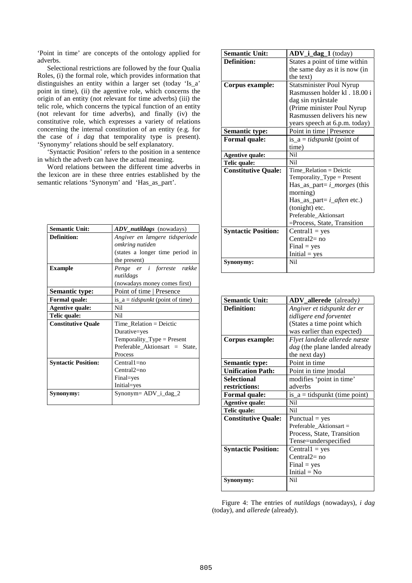'Point in time' are concepts of the ontology applied for adverbs.

Selectional restrictions are followed by the four Qualia Roles, (i) the formal role, which provides information that distinguishes an entity within a larger set (today 'Is\_a' point in time), (ii) the agentive role, which concerns the origin of an entity (not relevant for time adverbs) (iii) the telic role, which concerns the typical function of an entity (not relevant for time adverbs), and finally (iv) the constitutive role, which expresses a variety of relations concerning the internal constitution of an entity (e.g. for the case of *i dag* that temporality type is present). 'Synonymy' relations should be self explanatory.

'Syntactic Position' refers to the position in a sentence in which the adverb can have the actual meaning.

Word relations between the different time adverbs in the lexicon are in these three entries established by the semantic relations 'Synonym' and 'Has\_as\_part'.

| <b>Semantic Unit:</b>      | <b>ADV</b> nutildags (nowadays)         |
|----------------------------|-----------------------------------------|
| Definition:                | Angiver en længere tidsperiode          |
|                            | omkring nutiden                         |
|                            | (states a longer time period in         |
|                            | the present)                            |
| <b>Example</b>             | Penge er i forreste række               |
|                            | nutildags                               |
|                            | (nowadays money comes first)            |
| <b>Semantic type:</b>      | Point of time   Presence                |
| <b>Formal quale:</b>       | is_a = <i>tidspunkt</i> (point of time) |
| <b>Agentive quale:</b>     | Nil                                     |
| Telic quale:               | Nil                                     |
| <b>Constitutive Quale</b>  | $Time\_Relation = Deictic$              |
|                            | Durative=yes                            |
|                            | $Temperature_Type = Present$            |
|                            | Preferable Aktionsart = State,          |
|                            | Process                                 |
| <b>Syntactic Position:</b> | $Central1=no$                           |
|                            | $Central2=no$                           |
|                            | Final=yes                               |
|                            | Initial=yes                             |
| Synonymy:                  | $Synonym = ADV_i_dag_2$                 |
|                            |                                         |

| <b>Semantic Unit:</b>      | ADV_i_dag_1 (today)               |  |
|----------------------------|-----------------------------------|--|
| Definition:                | States a point of time within     |  |
|                            | the same day as it is now (in     |  |
|                            | the text)                         |  |
| <b>Corpus example:</b>     | <b>Statsminister Poul Nyrup</b>   |  |
|                            | Rasmussen holder kl. 18.00 i      |  |
|                            | dag sin nytårstale                |  |
|                            | (Prime minister Poul Nyrup        |  |
|                            | Rasmussen delivers his new        |  |
|                            | years speech at 6.p.m. today)     |  |
| <b>Semantic type:</b>      | Point in time   Presence          |  |
| Formal quale:              | is_a = <i>tidspunkt</i> (point of |  |
|                            | time)                             |  |
| <b>Agentive quale:</b>     | <b>Nil</b>                        |  |
| Telic quale:               | <b>Nil</b>                        |  |
| <b>Constitutive Quale:</b> | Time Relation = Deictic           |  |
|                            | Temporality_Type = Present        |  |
|                            | Has_as_part= $i\_morges$ (this    |  |
|                            | morning)                          |  |
|                            | Has_as_part= $i$ _aften etc.)     |  |
|                            | (tonight) etc.                    |  |
|                            | Preferable Aktionsart             |  |
|                            | =Process, State, Transition       |  |
| <b>Syntactic Position:</b> | $Central1 = yes$                  |  |
|                            | $Central2=no$                     |  |
|                            | $Final = yes$                     |  |
|                            | $Initial = yes$                   |  |
| Synonymy:                  | Nil                               |  |
|                            |                                   |  |

| <b>Semantic Unit:</b>      | ADV_allerede (already)          |
|----------------------------|---------------------------------|
| <b>Definition:</b>         | Angiver et tidspunkt der er     |
|                            | tidligere end forventet         |
|                            | (States a time point which      |
|                            | was earlier than expected)      |
| Corpus example:            | Flyet landede allerede næste    |
|                            | dag (the plane landed already   |
|                            | the next day)                   |
| Semantic type:             | Point in time                   |
| <b>Unification Path:</b>   | Point in time   modal           |
| <b>Selectional</b>         | modifies 'point in time'        |
| restrictions:              | adverbs                         |
| <b>Formal quale:</b>       | $is_a = tidspunkt$ (time point) |
| <b>Agentive quale:</b>     | Nil                             |
| Telic quale:               | N <sub>i</sub>                  |
| <b>Constitutive Quale:</b> | Punctual $=$ yes                |
|                            | Preferable Aktionsart =         |
|                            | Process, State, Transition      |
|                            | Tense=underspecified            |
| <b>Syntactic Position:</b> | $Central1 = yes$                |
|                            | $Central2=no$                   |
|                            | $Final = yes$                   |
|                            | Initial $= No$                  |
| Synonymy:                  | Nil                             |
|                            |                                 |

Figure 4: The entries of *nutildags* (nowadays), *i dag* (today), and *allerede* (already).